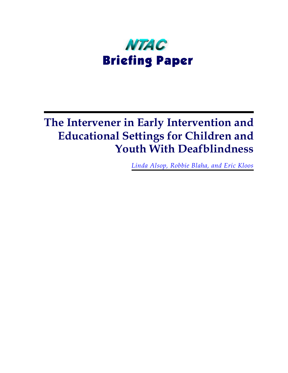

# **The Intervener in Early Intervention and Educational Settings for Children and Youth With Deafblindness**

*Linda Alsop, Robbie Blaha, and Eric Kloos*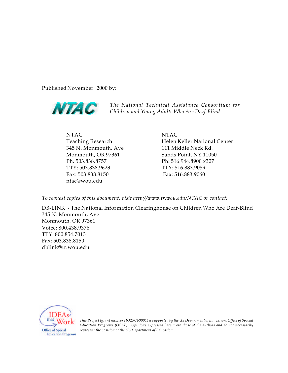Published November 2000 by:



*The National Technical Assistance Consortium for Children and Young Adults Who Are Deaf-Blind*

NTAC Teaching Research 345 N. Monmouth, Ave Monmouth, OR 97361 Ph. 503.838.8757 TTY: 503.838.9623 Fax: 503.838.8150 ntac@wou.edu

NTAC Helen Keller National Center 111 Middle Neck Rd. Sands Point, NY 11050 Ph: 516.944.8900 x307 TTY: 516.883.9059 Fax: 516.883.9060

*To request copies of this document, visit http://www.tr.wou.edu/NTAC or contact:*

DB-LINK - The National Information Clearinghouse on Children Who Are Deaf-Blind 345 N. Monmouth, Ave Monmouth, OR 97361 Voice: 800.438.9376 TTY: 800.854.7013 Fax: 503.838.8150 [dblink@tr.wou.edu](mailto:dblink@tr.wou.edu)



*This Project (grant number HO25C60001) is supported by the US Department of Education, Office of Special Education Programs (OSEP). Opinions expressed herein are those of the authors and do not necessarily represent the position of the US Department of Education.*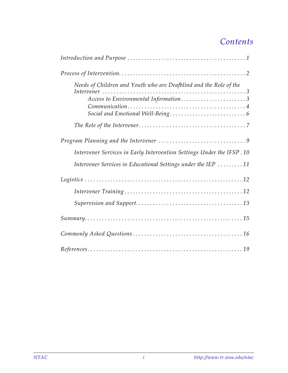## *Contents*

| Needs of Children and Youth who are Deafblind and the Role of the<br>Access to Environmental Information3 |
|-----------------------------------------------------------------------------------------------------------|
|                                                                                                           |
| Intervener Services in Early Intervention Settings Under the IFSP. 10                                     |
| Intervener Services in Educational Settings under the IEP 11                                              |
|                                                                                                           |
|                                                                                                           |
|                                                                                                           |
| $Summary. \dots 15$                                                                                       |
|                                                                                                           |
|                                                                                                           |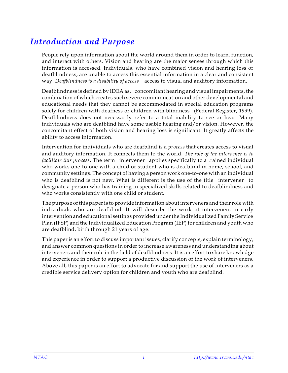## <span id="page-4-0"></span>*Introduction and Purpose*

People rely upon information about the world around them in order to learn, function, and interact with others. Vision and hearing are the major senses through which this information is accessed. Individuals, who have combined vision and hearing loss or deafblindness, are unable to access this essential information in a clear and consistent way. *Deafblindness is a disability of access* – access to visual and auditory information.

Deafblindness is defined by IDEA as, "concomitant hearing and visual impairments, the combination of which creates such severe communication and other developmental and educational needs that they cannot be accommodated in special education programs solely for children with deafness or children with blindness (Federal Register, 1999). Deafblindness does not necessarily refer to a total inability to see or hear. Many individuals who are deafblind have some usable hearing and/or vision. However, the concomitant effect of both vision and hearing loss is significant. It greatly affects the ability to access information.

Intervention for individuals who are deafblind is a *process* that creates access to visual and auditory information. It connects them to the world. *The role of the intervener is to facilitate this process*. The term intervener applies specifically to a trained individual who works one-to-one with a child or student who is deafblind in home, school, and community settings. The concept of having a person work one-to-one with an individual who is deafblind is not new. What is different is the use of the title intervener to designate a person who has training in specialized skills related to deafblindness and who works consistently with one child or student.

The purpose of this paper is to provide information about interveners and their role with individuals who are deafblind. It will describe the work of interveners in early intervention and educational settings provided under the Individualized Family Service Plan (IFSP) and the Individualized Education Program (IEP) for children and youth who are deafblind, birth through 21 years of age.

This paper is an effort to discuss important issues, clarify concepts, explain terminology, and answer common questions in order to increase awareness and understanding about interveners and their role in the field of deafblindness. It is an effort to share knowledge and experience in order to support a productive discussion of the work of interveners. Above all, this paper is an effort to advocate for and support the use of interveners as a credible service delivery option for children and youth who are deafblind.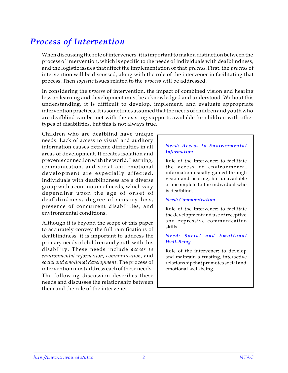## <span id="page-5-0"></span>*Process of Intervention*

When discussing the role of interveners, it is important to make a distinction between the process of intervention, which is specific to the needs of individuals with deafblindness, and the logistic issues that affect the implementation of that *process*. First, the *process* of intervention will be discussed, along with the role of the intervener in facilitating that process. Then *logistic* issues related to the *process* will be addressed.

In considering the *process* of intervention, the impact of combined vision and hearing loss on learning and development must be acknowledged and understood. Without this understanding, it is difficult to develop, implement, and evaluate appropriate intervention practices. It is sometimes assumed that the needs of children and youth who are deafblind can be met with the existing supports available for children with other types of disabilities, but this is not always true.

Children who are deafblind have unique needs. Lack of access to visual and auditory information causes extreme difficulties in all areas of development. It creates isolation and prevents connection with the world. Learning, communication, and social and emotional development are especially affected. Individuals with deafblindness are a diverse group with a continuum of needs, which vary depending upon the age of onset of deafblindness, degree of sensory loss, presence of concurrent disabilities, and environmental conditions.

Although it is beyond the scope of this paper to accurately convey the full ramifications of deafblindness, it is important to address the primary needs of children and youth with this disability. These needs include *access to environmental information, communication,* and *social and emotional development*. The process of intervention must address each of these needs. The following discussion describes these needs and discusses the relationship between them and the role of the intervener.

### *Need: Access to Environmental Information*

Role of the intervener: to facilitate the access of environmental information usually gained through vision and hearing, but unavailable or incomplete to the individual who is deafblind.

### *Need: Communication*

Role of the intervener: to facilitate the development and use of receptive and expressive communication skills.

### *Need: Social and Emotiona l Well-Being*

Role of the intervener: to develop and maintain a trusting, interactive relationship that promotes social and emotional well-being.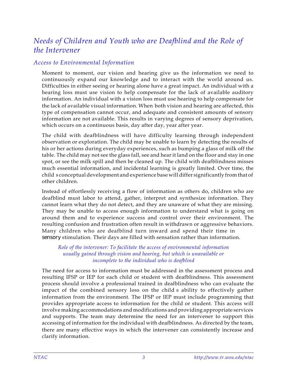### <span id="page-6-0"></span>*Needs of Children and Youth who are Deafblind and the Role of the Intervener*

### *Access to Environmental Information*

Moment to moment, our vision and hearing give us the information we need to continuously expand our knowledge and to interact with the world around us. Difficulties in either seeing or hearing alone have a great impact. An individual with a hearing loss must use vision to help compensate for the lack of available auditory information. An individual with a vision loss must use hearing to help compensate for the lack of available visual information. When both vision and hearing are affected, this type of compensation cannot occur, and adequate and consistent amounts of sensory information are not available. This results in varying degrees of sensory deprivation, which occurs on a continuous basis, day after day, year after year.

The child with deafblindness will have difficulty learning through independent observation or exploration. The child may be unable to learn by detecting the results of his or her actions during everyday experiences, such as bumping a glass of milk off the table. The child may not see the glass fall, see and hear it land on the floor and stay in one spot, or see the milk spill and then be cleaned up. The child with deafblindness misses much essential information, and incidental learning is greatly limited. Over time, the child's conceptual development and experience base will differ significantly from that of other children.

Instead of effortlessly receiving a flow of information as others do, children who are deafblind must labor to attend, gather, interpret and synthesize information. They cannot learn what they do not detect, and they are unaware of what they are missing. They may be unable to access enough information to understand what is going on around them and to experience success and control over their environment. The resulting confusion and frustration often result in withdrawn or aggressive behaviors. Many children who are deafblind turn inward and spend their time in sensory stimulation. Their days are filled with sensation rather than information.

### *Role of the intervener: To facilitate the access of environmental information usually gained through vision and hearing, but which is unavailable or incomplete to the individual who is deafblind*

The need for access to information must be addressed in the assessment process and resulting IFSP or IEP for each child or student with deafblindness. This assessment process should involve a professional trained in deafblindness who can evaluate the impact of the combined sensory loss on the child s ability to effectively gather information from the environment. The IFSP or IEP must include programming that provides appropriate access to information for the child or student. This access will involve making accommodations and modifications and providing appropriate services and supports. The team may determine the need for an intervener to support this accessing of information for the individual with deafblindness. As directed by the team, there are many effective ways in which the intervener can consistently increase and clarify information.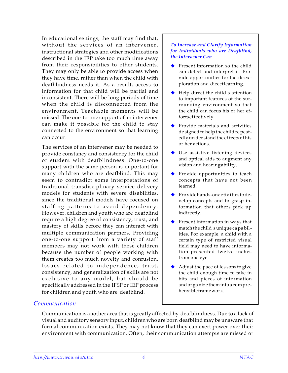<span id="page-7-0"></span>In educational settings, the staff may find that, without the services of an intervener, instructional strategies and other modifications described in the IEP take too much time away from their responsibilities to other students. They may only be able to provide access when they have time, rather than when the child with deafblindness needs it. As a result, access to information for that child will be partial and inconsistent. There will be long periods of time when the child is disconnected from the environment. Teachable moments will be missed. The one-to-one support of an intervener can make it possible for the child to stay connected to the environment so that learning can occur.

The services of an intervener may be needed to provide constancy and consistency for the child or student with deafblindness. One-to-one support with the same person is important for many children who are deafblind. This may seem to contradict some interpretations of traditional transdisciplinary service delivery models for students with severe disabilities, since the traditional models have focused on staffing patterns to avoid dependency. However, children and youth who are deafblind require a high degree of consistency, trust, and mastery of skills before they can interact with multiple communication partners. Providing one-to-one support from a variety of staff members may not work with these children because the number of people working with them creates too much novelty and confusion. Issues related to independence, trust, consistency, and generalization of skills are not exclusive to any model, but should be specifically addressed in the IFSP or IEP process for children and youth who are deafblind.

#### *To Increase and Clarify Information for Individuals who are Deafblind, the Intervener Can*

- Present information so the child can detect and interpret it. Provide opportunities for tactile exploration and directlearning.
- Help direct the child s attention to important features of the surrounding environment so that the child can focus his or her efforts ef fec tively.
- $\blacklozenge$  Provide materials and activities de signed to help the child re peat edly un der stand the ef fects of his or her ac tions.
- $\blacklozenge$  Use assistive listening devices and optical aids to augment any vision and hearing ability.
- $\blacklozenge$  Provide opportunities to teach con cepts that have not been learned.
- $\blacklozenge$  Provide hands-on activities to develop con cepts and to grasp information that others pick up indirectly.
- $\blacklozenge$  Present information in ways that match the child sunique ca pa bilities. For example, a child with a certain type of restricted visual field may need to have information presented twelve inches from one eye.
- Adjust the pace of les sons to give the child enough time to take in bits and pieces of information and or ga nize them into a com pre hen si ble frame work.

### *Communication*

Communication is another area that is greatly affected by deafblindness. Due to a lack of visual and auditory sensory input, children who are born deafblind may be unaware that formal communication exists. They may not know that they can exert power over their environment with communication. Often, their communication attempts are missed or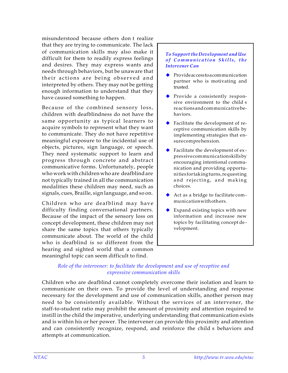misunderstood because others don't realize that they are trying to communicate. The lack of communication skills may also make it difficult for them to readily express feelings and desires. They may express wants and needs through behaviors, but be unaware that their actions are being observed and interpreted by others. They may not be getting enough information to understand that they have caused something to happen.

Because of the combined sensory loss, children with deafblindness do not have the same opportunity as typical learners to acquire symbols to represent what they want to communicate. They do not have repetitive meaningful exposure to the incidental use of objects, pictures, sign language, or speech. They need systematic support to learn and progress through concrete and abstract communicative forms. Unfortunately, people who work with children who are deafblind are not typically trained in all the communication modalities these children may need, such as signals, cues, Braille, sign language, and so on.

Children who are deafblind may have difficulty finding conversational partners. Because of the impact of the sensory loss on concept development, these children may not share the same topics that others typically communicate about. The world of the child who is deafblind is so different from the hearing and sighted world that a common meaningful topic can seem difficult to find.

#### *To Support the Development and Use of Communication Skills, the Intervener Can*

- $\leftrightarrow$  Provide access to a communication partner who is motivating and trusted.
- $\blacklozenge$  Provide a consistently responsive environment to the child s re ac tions and com mu ni ca tive be hav iors.
- $\blacklozenge$  Facilitate the development of receptive communication skills by implementing strategies that ensure comprehension.
- $\blacklozenge$  Facilitate the development of expres sive com mu ni ca tion skills by en couraging intentional communication and providing opportuni ties for tak ing turns, re quest ing and rejecting, and making choices.
- Act as a bridge to facilitate communication with others.
- Expand existing topics with new information and increase new topics by facilitating concept development.

### *Role of the intervener: to facilitate the development and use of receptive and expressive communication skills*

Children who are deafblind cannot completely overcome their isolation and learn to communicate on their own. To provide the level of understanding and response necessary for the development and use of communication skills, another person may need to be consistently available. Without the services of an intervener, the staff-to-student ratio may prohibit the amount of proximity and attention required to instill in the child the imperative, underlying understanding that communication exists and is within his or her power. The intervener can provide this proximity and attention and can consistently recognize, respond, and reinforce the child s behaviors and attempts at communication.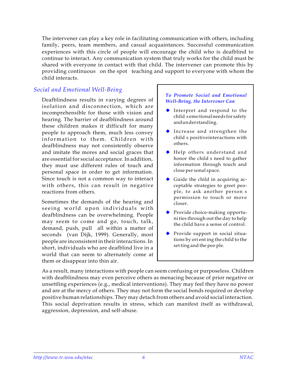<span id="page-9-0"></span>The intervener can play a key role in facilitating communication with others, including family, peers, team members, and casual acquaintances. Successful communication experiences with this circle of people will encourage the child who is deafblind to continue to interact. Any communication system that truly works for the child must be shared with everyone in contact with that child. The intervener can promote this by providing continuous on the spot teaching and support to everyone with whom the child interacts.

### *Social and Emotional Well-Being*

Deafblindness results in varying degrees of isolation and disconnection, which are incomprehensible for those with vision and hearing. The barrier of deafblindness around these children makes it difficult for many people to approach them, much less convey information to them. Children with deafblindness may not consistently observe and imitate the mores and social graces that are essential for social acceptance. In addition, they must use different rules of touch and personal space in order to get information. Since touch is not a common way to interact with others, this can result in negative reactions from others.

Sometimes the demands of the hearing and seeing world upon individuals with deafblindness can be overwhelming. People may seem to come and go, touch, talk, demand, push, pull—all within a matter of seconds (van Dijk, 1999). Generally, most people are inconsistent in their interactions. In short, individuals who are deafblind live in a world that can seem to alternately come at them or disappear into thin air.

#### *To Promote Social and Emotional Well-Being, the Intervener Can*

- $\blacklozenge$  Interpret and respond to the child's emo tional needs for safety and un der stand ing.
- $\blacklozenge$  Increase and strengthen the child s positive interactions with others.
- Help others understand and honor the child s need to gather information through touch and close per sonal space.
- $\blacklozenge$  Guide the child in acquiring acceptable strategies to greet people, to ask another person s permission to touch or move closer.
- $\blacklozenge$  Provide choice-making opportuni ties through out the day to help the child have a sense of control.
- $\blacklozenge$  Provide support in social situations by ori ent ing the child to the set ting and the peo ple.

As a result, many interactions with people can seem confusing or purposeless. Children with deafblindness may even perceive others as menacing because of prior negative or unsettling experiences (e.g., medical interventions). They may feel they have no power and are at the mercy of others. They may not form the social bonds required or develop positive human relationships. They may detach from others and avoid social interaction. This social deprivation results in stress, which can manifest itself as withdrawal, aggression, depression, and self-abuse.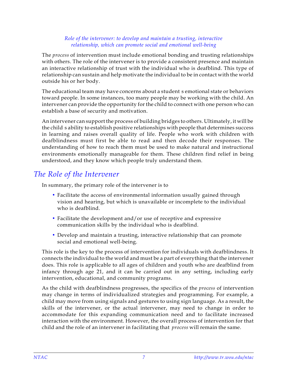### *Role of the intervener: to develop and maintain a trusting, interactive relationship, which can promote social and emotional well-being*

<span id="page-10-0"></span>The *process* of intervention must include emotional bonding and trusting relationships with others. The role of the intervener is to provide a consistent presence and maintain an interactive relationship of trust with the individual who is deafblind. This type of relationship can sustain and help motivate the individual to be in contact with the world outside his or her body.

The educational team may have concerns about a student s emotional state or behaviors toward people. In some instances, too many people may be working with the child. An intervener can provide the opportunity for the child to connect with one person who can establish a base of security and motivation.

An intervener can support the process of building bridges to others. Ultimately, it will be the child's ability to establish positive relationships with people that determines success in learning and raises overall quality of life. People who work with children with deafblindness must first be able to read and then decode their responses. The understanding of how to reach them must be used to make natural and instructional environments emotionally manageable for them. These children find relief in being understood, and they know which people truly understand them.

### *The Role of the Intervener*

In summary, the primary role of the intervener is to

- Facilitate the access of environmental information usually gained through vision and hearing, but which is unavailable or incomplete to the individual who is deafblind.
- Facilitate the development and/or use of receptive and expressive communication skills by the individual who is deafblind.
- Develop and maintain a trusting, interactive relationship that can promote social and emotional well-being.

This role is the key to the process of intervention for individuals with deafblindness. It connects the individual to the world and must be a part of everything that the intervener does. This role is applicable to all ages of children and youth who are deafblind from infancy through age 21, and it can be carried out in any setting, including early intervention, educational, and community programs.

As the child with deafblindness progresses, the specifics of the *process* of intervention may change in terms of individualized strategies and programming. For example, a child may move from using signals and gestures to using sign language. As a result, the skills of the intervener, or the actual intervener, may need to change in order to accommodate for this expanding communication need and to facilitate increased interaction with the environment. However, the overall process of intervention for that child and the role of an intervener in facilitating that *process* will remain the same.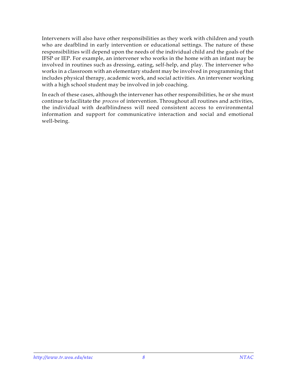Interveners will also have other responsibilities as they work with children and youth who are deafblind in early intervention or educational settings. The nature of these responsibilities will depend upon the needs of the individual child and the goals of the IFSP or IEP. For example, an intervener who works in the home with an infant may be involved in routines such as dressing, eating, self-help, and play. The intervener who works in a classroom with an elementary student may be involved in programming that includes physical therapy, academic work, and social activities. An intervener working with a high school student may be involved in job coaching.

In each of these cases, although the intervener has other responsibilities, he or she must continue to facilitate the *process* of intervention. Throughout all routines and activities, the individual with deafblindness will need consistent access to environmental information and support for communicative interaction and social and emotional well-being.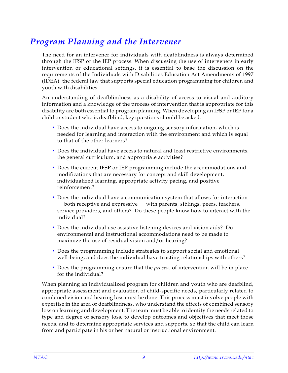## <span id="page-12-0"></span>*Program Planning and the Intervener*

The need for an intervener for individuals with deafblindness is always determined through the IFSP or the IEP process. When discussing the use of interveners in early intervention or educational settings, it is essential to base the discussion on the requirements of the Individuals with Disabilities Education Act Amendments of 1997 (IDEA), the federal law that supports special education programming for children and youth with disabilities.

An understanding of deafblindness as a disability of access to visual and auditory information and a knowledge of the process of intervention that is appropriate for this disability are both essential to program planning. When developing an IFSP or IEP for a child or student who is deafblind, key questions should be asked:

- Does the individual have access to ongoing sensory information, which is needed for learning and interaction with the environment and which is equal to that of the other learners?
- Does the individual have access to natural and least restrictive environments, the general curriculum, and appropriate activities?
- Does the current IFSP or IEP programming include the accommodations and modifications that are necessary for concept and skill development, individualized learning, appropriate activity pacing, and positive reinforcement?
- Does the individual have a communication system that allows for interaction both receptive and expressive — with parents, siblings, peers, teachers, service providers, and others? Do these people know how to interact with the individual?
- Does the individual use assistive listening devices and vision aids? Do environmental and instructional accommodations need to be made to maximize the use of residual vision and/or hearing?
- Does the programming include strategies to support social and emotional well-being, and does the individual have trusting relationships with others?
- Does the programming ensure that the *process* of intervention will be in place for the individual?

When planning an individualized program for children and youth who are deafblind, appropriate assessment and evaluation of child-specific needs, particularly related to combined vision and hearing loss must be done. This process must involve people with expertise in the area of deafblindness, who understand the effects of combined sensory loss on learning and development. The team must be able to identify the needs related to type and degree of sensory loss, to develop outcomes and objectives that meet those needs, and to determine appropriate services and supports, so that the child can learn from and participate in his or her natural or instructional environment.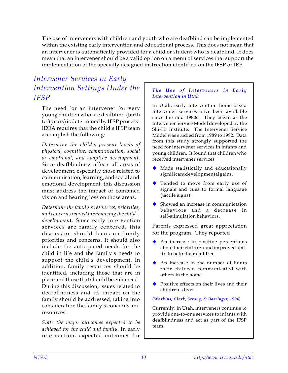<span id="page-13-0"></span>The use of interveners with children and youth who are deafblind can be implemented within the existing early intervention and educational process. This does not mean that an intervener is automatically provided for a child or student who is deafblind. It does mean that an intervener should be a valid option on a menu of services that support the implementation of the specially designed instruction identified on the IFSP or IEP.

### *Intervener Services in Early Intervention Settings Under the IFSP*

The need for an intervener for very young children who are deafblind (birth to 3 years) is determined by IFSP process. IDEA requires that the child s IFSP team accomplish the following:

*Determine the child's present levels of physical, cognitive, communication, social or emotional, and adaptive development*. Since deafblindness affects all areas of development, especially those related to communication, learning, and social and emotional development, this discussion must address the impact of combined vision and hearing loss on those areas.

*Determine the family's resources, priorities, and concerns related to enhancing the child's developmen*t. Since early intervention services are family centered, this discussion should focus on family priorities and concerns. It should also include the anticipated needs for the child in life and the family s needs to support the child's development. In addition, family resources should be identified, including those that are in place and those that should be enhanced. During this discussion, issues related to deafblindness and its impact on the family should be addressed, taking into consideration the family s concerns and resources.

*State the major outcomes expected to be achieved for the child and family*. In early intervention, expected outcomes for

### *The Use of Interveners in Early Intervention in Utah*

In Utah, early intervention home-based intervener services have been available since the mid 1980s. They began as the Intervener Service Model developed by the Ski-Hi Institute. The Intervener Service Model was studied from 1989 to 1992. Data from this study strongly supported the need for intervener services in infants and young children. It found that children who received intervener services

- Made statistically and educationally significant de velopmental gains.
- **Tended to move from early use of** signals and cues to formal language (tactile signs).
- $\blacklozenge$  Showed an increase in communication behaviors and a decrease in self-stimulation behaviors.

Parents expressed great appreciation for the program. They reported

- An increase in positive perceptions about their chil dren and im proved abil ity to help their children.
- $\blacklozenge$  An increase in the number of hours their children communicated with others in the home.
- $\blacklozenge$  Positive effects on their lives and their children s lives.

#### *(Watkins, Clark, Strong, & Barringer, 1994)*

Currently, in Utah, interveners continue to provide one-to-one services to infants with deafblindness and act as part of the IFSP team.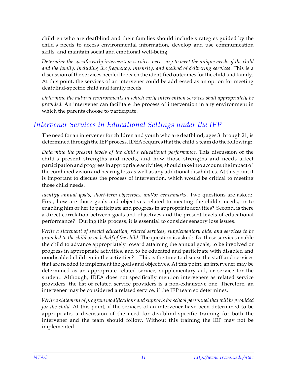<span id="page-14-0"></span>children who are deafblind and their families should include strategies guided by the child's needs to access environmental information, develop and use communication skills, and maintain social and emotional well-being.

*Determine the specific early intervention services necessary to meet the unique needs of the child and the family, including the frequency, intensity, and method of delivering services*. This is a discussion of the services needed to reach the identified outcomes for the child and family. At this point, the services of an intervener could be addressed as an option for meeting deafblind-specific child and family needs.

*Determine the natural environments in which early intervention services shall appropriately be provided*. An intervener can facilitate the process of intervention in any environment in which the parents choose to participate.

### *Intervener Services in Educational Settings under the IEP*

The need for an intervener for children and youth who are deafblind, ages 3 through 21, is determined through the IEP process. IDEA requires that the child steam do the following:

*Determine the present levels of the child's educational performance*. This discussion of the child's present strengths and needs, and how those strengths and needs affect participation and progress in appropriate activities, should take into account the impact of the combined vision and hearing loss as well as any additional disabilities. At this point it is important to discuss the process of intervention, which would be critical to meeting those child needs.

*Identify annual goals, short-term objectives, and/or benchmarks*. Two questions are asked: First, how are those goals and objectives related to meeting the child s needs, or to enabling him or her to participate and progress in appropriate activities? Second, is there a direct correlation between goals and objectives and the present levels of educational performance? During this process, it is essential to consider sensory loss issues.

*Write a statement of special education, related services, supplementary aids, and services to be provided to the child or on behalf of the child*. The question is asked: Do these services enable the child to advance appropriately toward attaining the annual goals, to be involved or progress in appropriate activities, and to be educated and participate with disabled and nondisabled children in the activities? This is the time to discuss the staff and services that are needed to implement the goals and objectives. At this point, an intervener may be determined as an appropriate related service, supplementary aid, or service for the student. Although, IDEA does not specifically mention interveners as related service providers, the list of related service providers is a non-exhaustive one. Therefore, an intervener may be considered a related service, if the IEP team so determines.

*Write a statement of program modifications and supports for school personnel that will be provided for the child*. At this point, if the services of an intervener have been determined to be appropriate, a discussion of the need for deafblind-specific training for both the intervener and the team should follow. Without this training the IEP may not be implemented.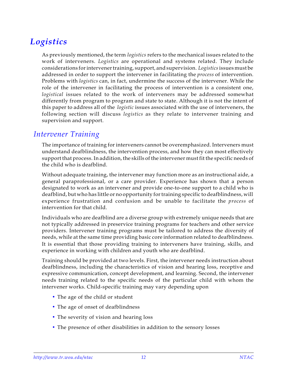## <span id="page-15-0"></span>*Logistics*

As previously mentioned, the term *logistics* refers to the mechanical issues related to the work of interveners. *Logistics* are operational and systems related. They include considerations for intervener training, support, and supervision. *Logistics* issues must be addressed in order to support the intervener in facilitating the *process* of intervention. Problems with *logistics* can, in fact, undermine the success of the intervener. While the role of the intervener in facilitating the process of intervention is a consistent one, *logistical* issues related to the work of interveners may be addressed somewhat differently from program to program and state to state. Although it is not the intent of this paper to address all of the *logistic* issues associated with the use of interveners, the following section will discuss *logistics* as they relate to intervener training and supervision and support.

### *Intervener Training*

The importance of training for interveners cannot be overemphasized. Interveners must understand deafblindness, the intervention process, and how they can most effectively support that process. In addition, the skills of the intervener must fit the specific needs of the child who is deafblind.

Without adequate training, the intervener may function more as an instructional aide, a general paraprofessional, or a care provider. Experience has shown that a person designated to work as an intervener and provide one-to-one support to a child who is deafblind, but who has little or no opportunity for training specific to deafblindness, will experience frustration and confusion and be unable to facilitate the *process* of intervention for that child.

Individuals who are deafblind are a diverse group with extremely unique needs that are not typically addressed in preservice training programs for teachers and other service providers. Intervener training programs must be tailored to address the diversity of needs, while at the same time providing basic core information related to deafblindness. It is essential that those providing training to interveners have training, skills, and experience in working with children and youth who are deafblind.

Training should be provided at two levels. First, the intervener needs instruction about deafblindness, including the characteristics of vision and hearing loss, receptive and expressive communication, concept development, and learning. Second, the intervener needs training related to the specific needs of the particular child with whom the intervener works. Child-specific training may vary depending upon

- The age of the child or student
- The age of onset of deafblindness
- The severity of vision and hearing loss
- The presence of other disabilities in addition to the sensory losses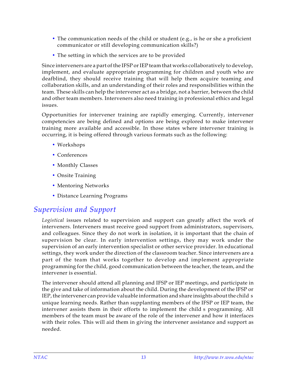- <span id="page-16-0"></span>• The communication needs of the child or student (e.g., is he or she a proficient communicator or still developing communication skills?)
- The setting in which the services are to be provided

Since interveners are a part of the IFSP or IEP team that works collaboratively to develop, implement, and evaluate appropriate programming for children and youth who are deafblind, they should receive training that will help them acquire teaming and collaboration skills, and an understanding of their roles and responsibilities within the team. These skills can help the intervener act as a bridge, not a barrier, between the child and other team members. Interveners also need training in professional ethics and legal issues.

Opportunities for intervener training are rapidly emerging. Currently, intervener competencies are being defined and options are being explored to make intervener training more available and accessible. In those states where intervener training is occurring, it is being offered through various formats such as the following:

- Workshops
- Conferences
- Monthly Classes
- Onsite Training
- Mentoring Networks
- Distance Learning Programs

### *Supervision and Support*

*Logistical* issues related to supervision and support can greatly affect the work of interveners. Interveners must receive good support from administrators, supervisors, and colleagues. Since they do not work in isolation, it is important that the chain of supervision be clear. In early intervention settings, they may work under the supervision of an early intervention specialist or other service provider. In educational settings, they work under the direction of the classroom teacher. Since interveners are a part of the team that works together to develop and implement appropriate programming for the child, good communication between the teacher, the team, and the intervener is essential.

The intervener should attend all planning and IFSP or IEP meetings, and participate in the give and take of information about the child. During the development of the IFSP or IEP, the intervener can provide valuable information and share insights about the child's unique learning needs. Rather than supplanting members of the IFSP or IEP team, the intervener assists them in their efforts to implement the child s programming. All members of the team must be aware of the role of the intervener and how it interfaces with their roles. This will aid them in giving the intervener assistance and support as needed.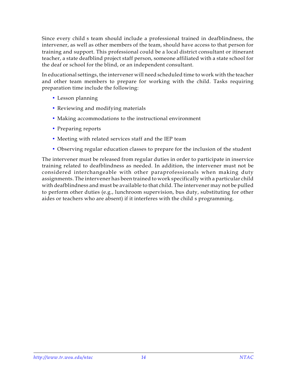Since every child's team should include a professional trained in deafblindness, the intervener, as well as other members of the team, should have access to that person for training and support. This professional could be a local district consultant or itinerant teacher, a state deafblind project staff person, someone affiliated with a state school for the deaf or school for the blind, or an independent consultant.

In educational settings, the intervener will need scheduled time to work with the teacher and other team members to prepare for working with the child. Tasks requiring preparation time include the following:

- Lesson planning
- Reviewing and modifying materials
- Making accommodations to the instructional environment
- Preparing reports
- Meeting with related services staff and the IEP team
- Observing regular education classes to prepare for the inclusion of the student

The intervener must be released from regular duties in order to participate in inservice training related to deafblindness as needed. In addition, the intervener must not be considered interchangeable with other paraprofessionals when making duty assignments. The intervener has been trained to work specifically with a particular child with deafblindness and must be available to that child. The intervener may not be pulled to perform other duties (e.g., lunchroom supervision, bus duty, substituting for other aides or teachers who are absent) if it interferes with the child s programming.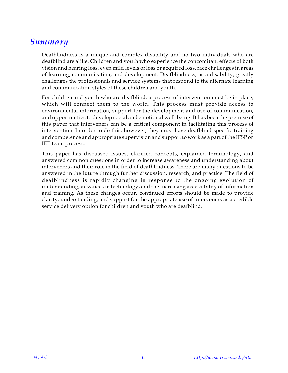### <span id="page-18-0"></span>*Summary*

Deafblindness is a unique and complex disability and no two individuals who are deafblind are alike. Children and youth who experience the concomitant effects of both vision and hearing loss, even mild levels of loss or acquired loss, face challenges in areas of learning, communication, and development. Deafblindness, as a disability, greatly challenges the professionals and service systems that respond to the alternate learning and communication styles of these children and youth.

For children and youth who are deafblind, a process of intervention must be in place, which will connect them to the world. This process must provide access to environmental information, support for the development and use of communication, and opportunities to develop social and emotional well-being. It has been the premise of this paper that interveners can be a critical component in facilitating this process of intervention. In order to do this, however, they must have deafblind-specific training and competence and appropriate supervision and support to work as a part of the IFSP or IEP team process.

This paper has discussed issues, clarified concepts, explained terminology, and answered common questions in order to increase awareness and understanding about interveners and their role in the field of deafblindness. There are many questions to be answered in the future through further discussion, research, and practice. The field of deafblindness is rapidly changing in response to the ongoing evolution of understanding, advances in technology, and the increasing accessibility of information and training. As these changes occur, continued efforts should be made to provide clarity, understanding, and support for the appropriate use of interveners as a credible service delivery option for children and youth who are deafblind.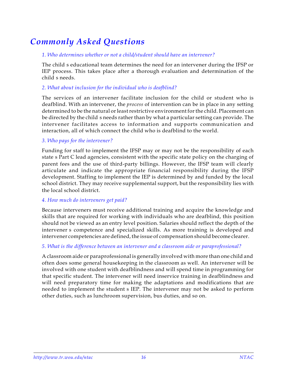## <span id="page-19-0"></span>*Commonly Asked Questions*

### *1. Who determines whether or not a child/student should have an intervener?*

The child's educational team determines the need for an intervener during the IFSP or IEP process. This takes place after a thorough evaluation and determination of the child's needs.

### *2. What about inclusion for the individual who is deafblind?*

The services of an intervener facilitate inclusion for the child or student who is deafblind. With an intervener, the *process* of intervention can be in place in any setting determined to be the natural or least restrictive environment for the child. Placement can be directed by the child s needs rather than by what a particular setting can provide. The intervener facilitates access to information and supports communication and interaction, all of which connect the child who is deafblind to the world.

### *3. Who pays for the intervener?*

Funding for staff to implement the IFSP may or may not be the responsibility of each state s Part C lead agencies, consistent with the specific state policy on the charging of parent fees and the use of third-party billings. However, the IFSP team will clearly articulate and indicate the appropriate financial responsibility during the IFSP development. Staffing to implement the IEP is determined by and funded by the local school district. They may receive supplemental support, but the responsibility lies with the local school district.

#### *4. How much do interveners get paid?*

Because interveners must receive additional training and acquire the knowledge and skills that are required for working with individuals who are deafblind, this position should not be viewed as an entry level position. Salaries should reflect the depth of the intervener s competence and specialized skills. As more training is developed and intervener competencies are defined, the issue of compensation should become clearer.

### *5. What is the difference between an intervener and a classroom aide or paraprofessional?*

A classroom aide or paraprofessional is generally involved with more than one child and often does some general housekeeping in the classroom as well. An intervener will be involved with one student with deafblindness and will spend time in programming for that specific student. The intervener will need inservice training in deafblindness and will need preparatory time for making the adaptations and modifications that are needed to implement the student s IEP. The intervener may not be asked to perform other duties, such as lunchroom supervision, bus duties, and so on.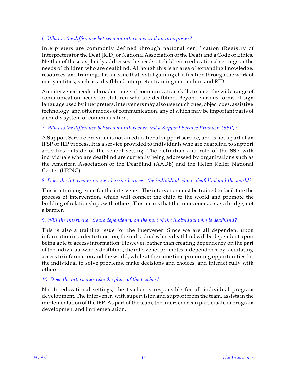### *6. What is the difference between an intervener and an interpreter?*

Interpreters are commonly defined through national certification (Registry of Interpreters for the Deaf [RID] or National Association of the Deaf) and a Code of Ethics. Neither of these explicitly addresses the needs of children in educational settings or the needs of children who are deafblind. Although this is an area of expanding knowledge, resources, and training, it is an issue that is still gaining clarification through the work of many entities, such as a deafblind interpreter training curriculum and RID.

An intervener needs a broader range of communication skills to meet the wide range of communication needs for children who are deafblind. Beyond various forms of sign language used by interpreters, interveners may also use touch cues, object cues, assistive technology, and other modes of communication, any of which may be important parts of a child s system of communication.

### *7. What is the difference between an intervener and a Support Service Provider (SSP)?*

A Support Service Provider is not an educational support service, and is not a part of an IFSP or IEP process. It is a service provided to individuals who are deafblind to support activities outside of the school setting. The definition and role of the SSP with individuals who are deafblind are currently being addressed by organizations such as the American Association of the DeafBlind (AADB) and the Helen Keller National Center (HKNC).

### *8. Does the intervener create a barrier between the individual who is deafblind and the world?*

This is a training issue for the intervener. The intervener must be trained to facilitate the process of intervention, which will connect the child to the world and promote the building of relationships with others. This means that the intervener acts as a bridge, not a barrier.

### *9. Will the intervener create dependency on the part of the individual who is deafblind?*

This is also a training issue for the intervener. Since we are all dependent upon information in order to function, the individual who is deafblind will be dependent upon being able to access information. However, rather than creating dependency on the part of the individual who is deafblind, the intervener promotes independence by facilitating access to information and the world, while at the same time promoting opportunities for the individual to solve problems, make decisions and choices, and interact fully with others.

### *10. Does the intervener take the place of the teacher?*

No. In educational settings, the teacher is responsible for all individual program development. The intervener, with supervision and support from the team, assists in the implementation of the IEP. As part of the team, the intervener can participate in program development and implementation.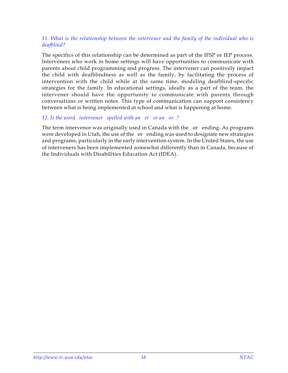### *11. What is the relationship between the intervener and the family of the individual who is deafblind?*

The specifics of this relationship can be determined as part of the IFSP or IEP process. Interveners who work in home settings will have opportunities to communicate with parents about child programming and progress. The intervener can positively impact the child with deafblindness as well as the family, by facilitating the process of intervention with the child while at the same time, modeling deafblind-specific strategies for the family. In educational settings, ideally as a part of the team, the intervener should have the opportunity to communicate with parents through conversations or written notes. This type of communication can support consistency between what is being implemented at school and what is happening at home.

### 12. Is the word intervener spelled with an er or an or?

The term intervenor was originally used in Canada with the or ending. As programs were developed in Utah, the use of the er ending was used to designate new strategies and programs, particularly in the early intervention system. In the United States, the use of interveners has been implemented somewhat differently than in Canada, because of the Individuals with Disabilities Education Act (IDEA).